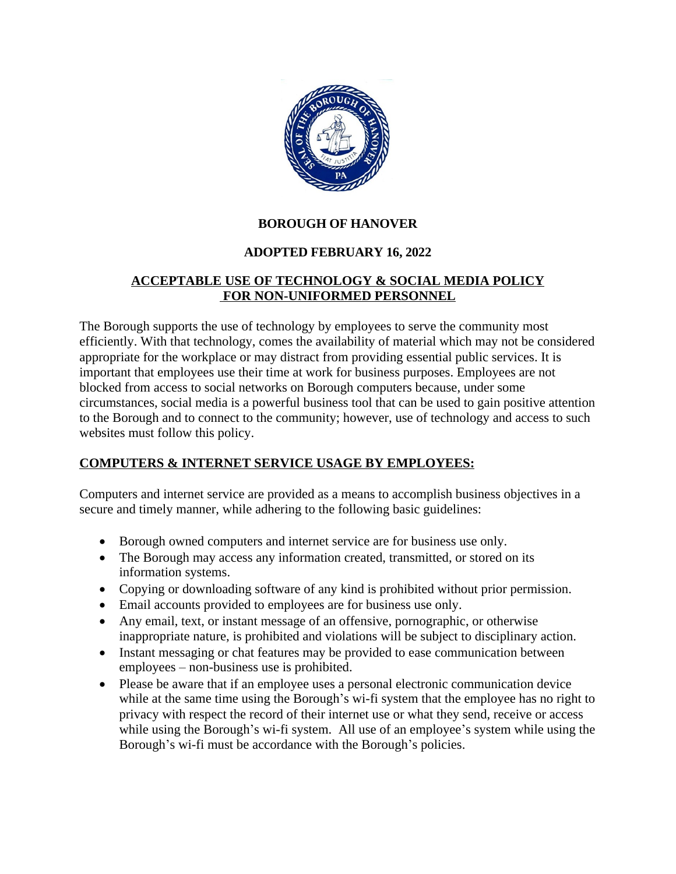

# **BOROUGH OF HANOVER**

# **ADOPTED FEBRUARY 16, 2022**

### **ACCEPTABLE USE OF TECHNOLOGY & SOCIAL MEDIA POLICY FOR NON-UNIFORMED PERSONNEL**

The Borough supports the use of technology by employees to serve the community most efficiently. With that technology, comes the availability of material which may not be considered appropriate for the workplace or may distract from providing essential public services. It is important that employees use their time at work for business purposes. Employees are not blocked from access to social networks on Borough computers because, under some circumstances, social media is a powerful business tool that can be used to gain positive attention to the Borough and to connect to the community; however, use of technology and access to such websites must follow this policy.

# **COMPUTERS & INTERNET SERVICE USAGE BY EMPLOYEES:**

Computers and internet service are provided as a means to accomplish business objectives in a secure and timely manner, while adhering to the following basic guidelines:

- Borough owned computers and internet service are for business use only.
- The Borough may access any information created, transmitted, or stored on its information systems.
- Copying or downloading software of any kind is prohibited without prior permission.
- Email accounts provided to employees are for business use only.
- Any email, text, or instant message of an offensive, pornographic, or otherwise inappropriate nature, is prohibited and violations will be subject to disciplinary action.
- Instant messaging or chat features may be provided to ease communication between employees – non-business use is prohibited.
- Please be aware that if an employee uses a personal electronic communication device while at the same time using the Borough's wi-fi system that the employee has no right to privacy with respect the record of their internet use or what they send, receive or access while using the Borough's wi-fi system. All use of an employee's system while using the Borough's wi-fi must be accordance with the Borough's policies.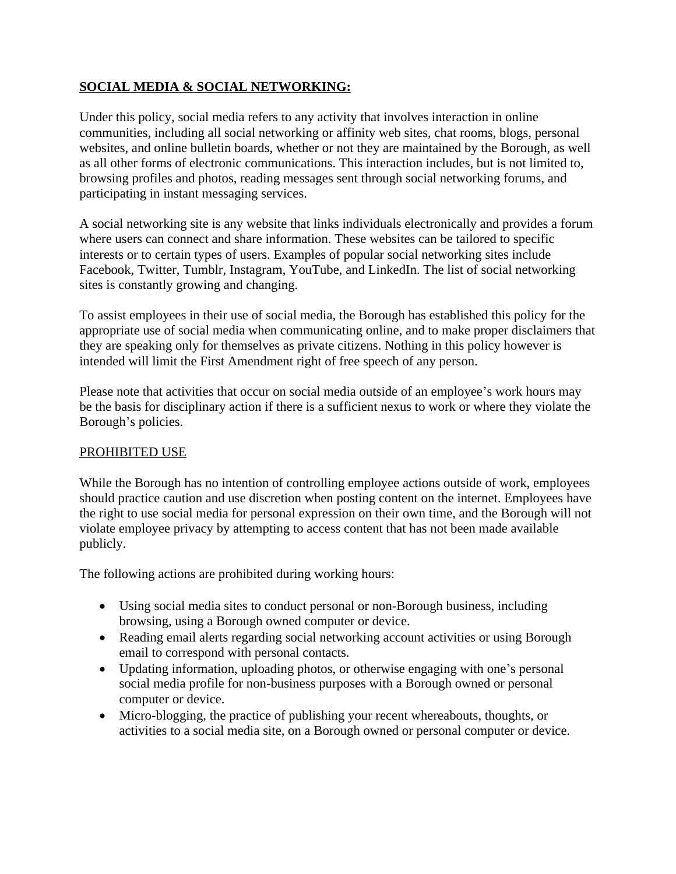# **SOCIAL MEDIA & SOCIAL NETWORKING:**

Under this policy, social media refers to any activity that involves interaction in online communities, including all social networking or affinity web sites, chat rooms, blogs, personal websites, and online bulletin boards, whether or not they are maintained by the Borough, as well as all other forms of electronic communications. This interaction includes, but is not limited to, browsing profiles and photos, reading messages sent through social networking forums, and participating in instant messaging services.

A social networking site is any website that links individuals electronically and provides a forum where users can connect and share information. These websites can be tailored to specific interests or to certain types of users. Examples of popular social networking sites include Facebook, Twitter, Tumblr, Instagram, YouTube, and LinkedIn. The list of social networking sites is constantly growing and changing.

To assist employees in their use of social media, the Borough has established this policy for the appropriate use of social media when communicating online, and to make proper disclaimers that they are speaking only for themselves as private citizens. Nothing in this policy however is intended will limit the First Amendment right of free speech of any person.

Please note that activities that occur on social media outside of an employee's work hours may be the basis for disciplinary action if there is a sufficient nexus to work or where they violate the Borough's policies.

# PROHIBITED USE

While the Borough has no intention of controlling employee actions outside of work, employees should practice caution and use discretion when posting content on the internet. Employees have the right to use social media for personal expression on their own time, and the Borough will not violate employee privacy by attempting to access content that has not been made available publicly.

The following actions are prohibited during working hours:

- Using social media sites to conduct personal or non-Borough business, including browsing, using a Borough owned computer or device.
- Reading email alerts regarding social networking account activities or using Borough email to correspond with personal contacts.
- Updating information, uploading photos, or otherwise engaging with one's personal social media profile for non-business purposes with a Borough owned or personal computer or device.
- Micro-blogging, the practice of publishing your recent whereabouts, thoughts, or activities to a social media site, on a Borough owned or personal computer or device.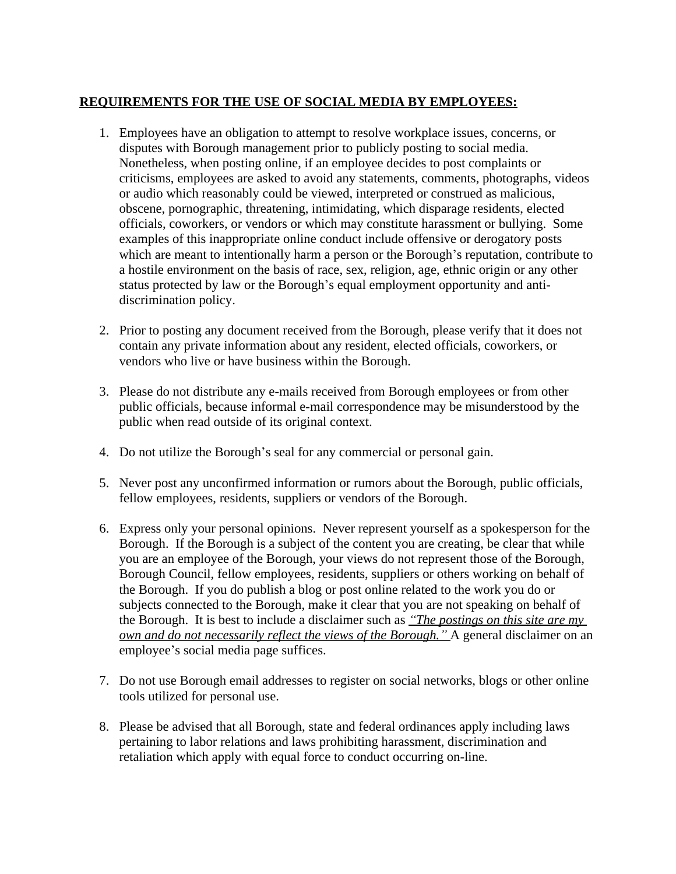### **REQUIREMENTS FOR THE USE OF SOCIAL MEDIA BY EMPLOYEES:**

- 1. Employees have an obligation to attempt to resolve workplace issues, concerns, or disputes with Borough management prior to publicly posting to social media. Nonetheless, when posting online, if an employee decides to post complaints or criticisms, employees are asked to avoid any statements, comments, photographs, videos or audio which reasonably could be viewed, interpreted or construed as malicious, obscene, pornographic, threatening, intimidating, which disparage residents, elected officials, coworkers, or vendors or which may constitute harassment or bullying. Some examples of this inappropriate online conduct include offensive or derogatory posts which are meant to intentionally harm a person or the Borough's reputation, contribute to a hostile environment on the basis of race, sex, religion, age, ethnic origin or any other status protected by law or the Borough's equal employment opportunity and antidiscrimination policy.
- 2. Prior to posting any document received from the Borough, please verify that it does not contain any private information about any resident, elected officials, coworkers, or vendors who live or have business within the Borough.
- 3. Please do not distribute any e-mails received from Borough employees or from other public officials, because informal e-mail correspondence may be misunderstood by the public when read outside of its original context.
- 4. Do not utilize the Borough's seal for any commercial or personal gain.
- 5. Never post any unconfirmed information or rumors about the Borough, public officials, fellow employees, residents, suppliers or vendors of the Borough.
- 6. Express only your personal opinions. Never represent yourself as a spokesperson for the Borough. If the Borough is a subject of the content you are creating, be clear that while you are an employee of the Borough, your views do not represent those of the Borough, Borough Council, fellow employees, residents, suppliers or others working on behalf of the Borough. If you do publish a blog or post online related to the work you do or subjects connected to the Borough, make it clear that you are not speaking on behalf of the Borough. It is best to include a disclaimer such as *"The postings on this site are my own and do not necessarily reflect the views of the Borough."* A general disclaimer on an employee's social media page suffices.
- 7. Do not use Borough email addresses to register on social networks, blogs or other online tools utilized for personal use.
- 8. Please be advised that all Borough, state and federal ordinances apply including laws pertaining to labor relations and laws prohibiting harassment, discrimination and retaliation which apply with equal force to conduct occurring on-line.